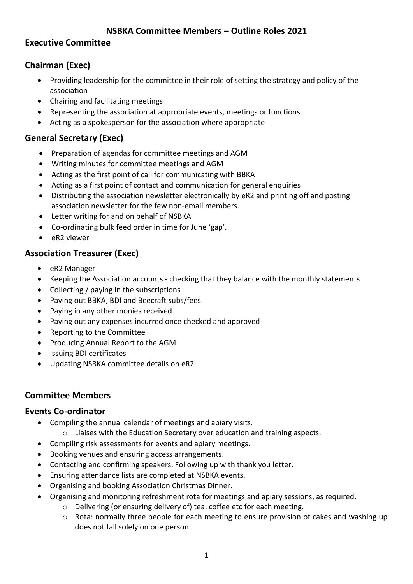### **NSBKA Committee Members – Outline Roles 2021**

#### **Executive Committee**

### **Chairman (Exec)**

- Providing leadership for the committee in their role of setting the strategy and policy of the association
- Chairing and facilitating meetings
- Representing the association at appropriate events, meetings or functions
- Acting as a spokesperson for the association where appropriate

# **General Secretary (Exec)**

- Preparation of agendas for committee meetings and AGM
- Writing minutes for committee meetings and AGM
- Acting as the first point of call for communicating with BBKA
- Acting as a first point of contact and communication for general enquiries
- Distributing the association newsletter electronically by eR2 and printing off and posting association newsletter for the few non-email members.
- Letter writing for and on behalf of NSBKA
- Co-ordinating bulk feed order in time for June 'gap'.
- eR2 viewer

## **Association Treasurer (Exec)**

- eR2 Manager
- Keeping the Association accounts checking that they balance with the monthly statements
- Collecting / paying in the subscriptions
- Paying out BBKA, BDI and Beecraft subs/fees.
- Paying in any other monies received
- Paying out any expenses incurred once checked and approved
- Reporting to the Committee
- Producing Annual Report to the AGM
- Issuing BDI certificates
- Updating NSBKA committee details on eR2.

### **Committee Members**

### **Events Co-ordinator**

- Compiling the annual calendar of meetings and apiary visits.
	- o Liaises with the Education Secretary over education and training aspects.
- Compiling risk assessments for events and apiary meetings.
- Booking venues and ensuring access arrangements.
- Contacting and confirming speakers. Following up with thank you letter.
- Ensuring attendance lists are completed at NSBKA events.
- Organising and booking Association Christmas Dinner.
- Organising and monitoring refreshment rota for meetings and apiary sessions, as required.
	- o Delivering (or ensuring delivery of) tea, coffee etc for each meeting.
	- o Rota: normally three people for each meeting to ensure provision of cakes and washing up does not fall solely on one person.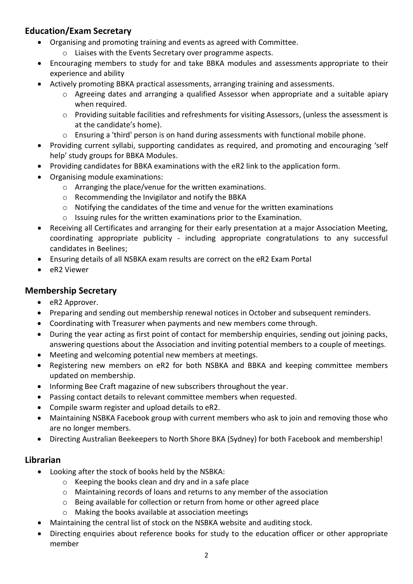# **Education/Exam Secretary**

- Organising and promoting training and events as agreed with Committee.
	- o Liaises with the Events Secretary over programme aspects.
- Encouraging members to study for and take BBKA modules and assessments appropriate to their experience and ability
- Actively promoting BBKA practical assessments, arranging training and assessments.
	- o Agreeing dates and arranging a qualified Assessor when appropriate and a suitable apiary when required.
	- o Providing suitable facilities and refreshments for visiting Assessors, (unless the assessment is at the candidate's home).
	- o Ensuring a 'third' person is on hand during assessments with functional mobile phone.
- Providing current syllabi, supporting candidates as required, and promoting and encouraging 'self help' study groups for BBKA Modules.
- Providing candidates for BBKA examinations with the eR2 link to the application form.
- Organising module examinations:
	- o Arranging the place/venue for the written examinations.
	- o Recommending the Invigilator and notify the BBKA
	- $\circ$  Notifying the candidates of the time and venue for the written examinations
	- o Issuing rules for the written examinations prior to the Examination.
- Receiving all Certificates and arranging for their early presentation at a major Association Meeting, coordinating appropriate publicity - including appropriate congratulations to any successful candidates in Beelines;
- Ensuring details of all NSBKA exam results are correct on the eR2 Exam Portal
- eR2 Viewer

# **Membership Secretary**

- eR2 Approver.
- Preparing and sending out membership renewal notices in October and subsequent reminders.
- Coordinating with Treasurer when payments and new members come through.
- During the year acting as first point of contact for membership enquiries, sending out joining packs, answering questions about the Association and inviting potential members to a couple of meetings.
- Meeting and welcoming potential new members at meetings.
- Registering new members on eR2 for both NSBKA and BBKA and keeping committee members updated on membership.
- Informing Bee Craft magazine of new subscribers throughout the year.
- Passing contact details to relevant committee members when requested.
- Compile swarm register and upload details to eR2.
- Maintaining NSBKA Facebook group with current members who ask to join and removing those who are no longer members.
- Directing Australian Beekeepers to North Shore BKA (Sydney) for both Facebook and membership!

## **Librarian**

- Looking after the stock of books held by the NSBKA:
	- o Keeping the books clean and dry and in a safe place
	- o Maintaining records of loans and returns to any member of the association
	- o Being available for collection or return from home or other agreed place
	- o Making the books available at association meetings
- Maintaining the central list of stock on the NSBKA website and auditing stock.
- Directing enquiries about reference books for study to the education officer or other appropriate member